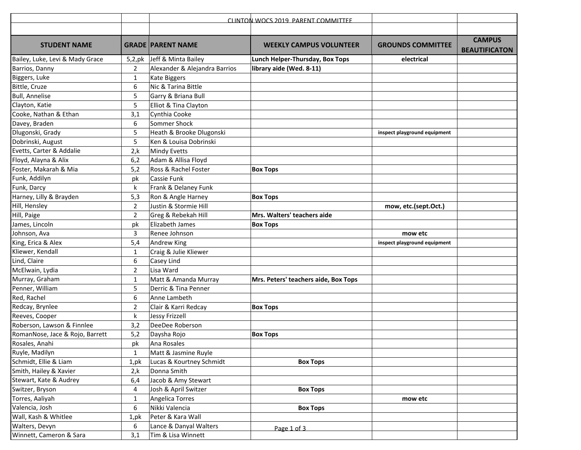|                                 |                | CLINTON WOCS 2019 PARENT COMMITTEE |                                      |                              |                                       |
|---------------------------------|----------------|------------------------------------|--------------------------------------|------------------------------|---------------------------------------|
|                                 |                |                                    |                                      |                              |                                       |
| <b>STUDENT NAME</b>             |                | <b>GRADE PARENT NAME</b>           | <b>WEEKLY CAMPUS VOLUNTEER</b>       | <b>GROUNDS COMMITTEE</b>     | <b>CAMPUS</b><br><b>BEAUTIFICATON</b> |
| Bailey, Luke, Levi & Mady Grace | 5,2,pk         | Jeff & Minta Bailey                | Lunch Helper-Thursday, Box Tops      | electrical                   |                                       |
| Barrios, Danny                  | 2              | Alexander & Alejandra Barrios      | library aide (Wed. 8-11)             |                              |                                       |
| Biggers, Luke                   | $\mathbf{1}$   | Kate Biggers                       |                                      |                              |                                       |
| Bittle, Cruze                   | 6              | Nic & Tarina Bittle                |                                      |                              |                                       |
| <b>Bull, Annelise</b>           | 5              | Garry & Briana Bull                |                                      |                              |                                       |
| Clayton, Katie                  | 5              | Elliot & Tina Clayton              |                                      |                              |                                       |
| Cooke, Nathan & Ethan           | 3,1            | Cynthia Cooke                      |                                      |                              |                                       |
| Davey, Braden                   | 6              | Sommer Shock                       |                                      |                              |                                       |
| Dlugonski, Grady                | 5              | Heath & Brooke Dlugonski           |                                      | inspect playground equipment |                                       |
| Dobrinski, August               | 5              | Ken & Louisa Dobrinski             |                                      |                              |                                       |
| Evetts, Carter & Addalie        | 2, k           | <b>Mindy Evetts</b>                |                                      |                              |                                       |
| Floyd, Alayna & Alix            | 6,2            | Adam & Allisa Floyd                |                                      |                              |                                       |
| Foster, Makarah & Mia           | 5,2            | Ross & Rachel Foster               | <b>Box Tops</b>                      |                              |                                       |
| Funk, Addilyn                   | pk             | Cassie Funk                        |                                      |                              |                                       |
| Funk, Darcy                     | k              | Frank & Delaney Funk               |                                      |                              |                                       |
| Harney, Lilly & Brayden         | 5,3            | Ron & Angle Harney                 | <b>Box Tops</b>                      |                              |                                       |
| Hill, Hensley                   | $\overline{2}$ | Justin & Stormie Hill              |                                      | mow, etc.(sept.Oct.)         |                                       |
| Hill, Paige                     | $\overline{2}$ | Greg & Rebekah Hill                | Mrs. Walters' teachers aide          |                              |                                       |
| James, Lincoln                  | pk             | Elizabeth James                    | <b>Box Tops</b>                      |                              |                                       |
| Johnson, Ava                    | 3              | Renee Johnson                      |                                      | mow etc                      |                                       |
| King, Erica & Alex              | 5,4            | <b>Andrew King</b>                 |                                      | inspect playground equipment |                                       |
| Kliewer, Kendall                | 1              | Craig & Julie Kliewer              |                                      |                              |                                       |
| Lind, Claire                    | 6              | Casey Lind                         |                                      |                              |                                       |
| McElwain, Lydia                 | 2              | Lisa Ward                          |                                      |                              |                                       |
| Murray, Graham                  | $\mathbf{1}$   | Matt & Amanda Murray               | Mrs. Peters' teachers aide, Box Tops |                              |                                       |
| Penner, William                 | 5              | Derric & Tina Penner               |                                      |                              |                                       |
| Red, Rachel                     | 6              | Anne Lambeth                       |                                      |                              |                                       |
| Redcay, Brynlee                 | 2              | Clair & Karri Redcay               | <b>Box Tops</b>                      |                              |                                       |
| Reeves, Cooper                  | k              | <b>Jessy Frizzell</b>              |                                      |                              |                                       |
| Roberson, Lawson & Finnlee      | 3,2            | DeeDee Roberson                    |                                      |                              |                                       |
| RomanNose, Jace & Rojo, Barrett | 5,2            | Daysha Rojo                        | <b>Box Tops</b>                      |                              |                                       |
| Rosales, Anahi                  | рk             | Ana Rosales                        |                                      |                              |                                       |
| Ruyle, Madilyn                  | $\mathbf{1}$   | Matt & Jasmine Ruyle               |                                      |                              |                                       |
| Schmidt, Ellie & Liam           | 1,pk           | Lucas & Kourtney Schmidt           | <b>Box Tops</b>                      |                              |                                       |
| Smith, Hailey & Xavier          | 2, k           | Donna Smith                        |                                      |                              |                                       |
| Stewart, Kate & Audrey          | 6,4            | Jacob & Amy Stewart                |                                      |                              |                                       |
| Switzer, Bryson                 | 4              | Josh & April Switzer               | <b>Box Tops</b>                      |                              |                                       |
| Torres, Aaliyah                 | $\mathbf{1}$   | <b>Angelica Torres</b>             |                                      | mow etc                      |                                       |
| Valencia, Josh                  | 6              | Nikki Valencia                     | <b>Box Tops</b>                      |                              |                                       |
| Wall, Kash & Whitlee            | 1, pk          | Peter & Kara Wall                  |                                      |                              |                                       |
| Walters, Devyn                  | 6              | Lance & Danyal Walters             | Page 1 of 3                          |                              |                                       |
| Winnett, Cameron & Sara         | 3,1            | Tim & Lisa Winnett                 |                                      |                              |                                       |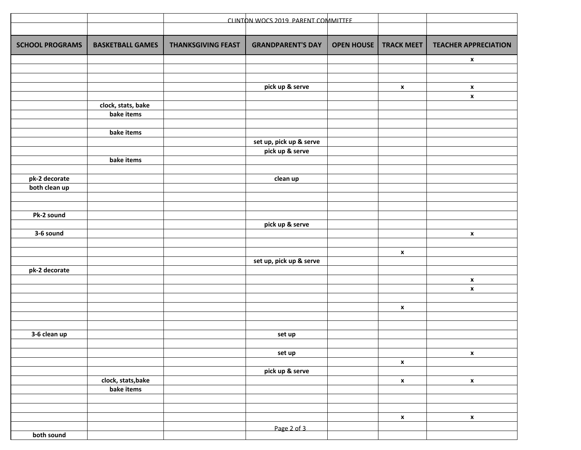|                        | CLINTON WOCS 2019 PARENT COMMITTEE |                           |                                            |                   |                    |                             |
|------------------------|------------------------------------|---------------------------|--------------------------------------------|-------------------|--------------------|-----------------------------|
|                        |                                    |                           |                                            |                   |                    |                             |
| <b>SCHOOL PROGRAMS</b> | <b>BASKETBALL GAMES</b>            | <b>THANKSGIVING FEAST</b> | <b>GRANDPARENT'S DAY</b>                   | <b>OPEN HOUSE</b> | <b>TRACK MEET</b>  | <b>TEACHER APPRECIATION</b> |
|                        |                                    |                           |                                            |                   |                    | X                           |
|                        |                                    |                           |                                            |                   |                    |                             |
|                        |                                    |                           | pick up & serve                            |                   | $\mathbf{x}$       | X                           |
|                        |                                    |                           |                                            |                   |                    | $\pmb{\mathsf{x}}$          |
|                        | clock, stats, bake                 |                           |                                            |                   |                    |                             |
|                        | bake items                         |                           |                                            |                   |                    |                             |
|                        |                                    |                           |                                            |                   |                    |                             |
|                        | bake items                         |                           |                                            |                   |                    |                             |
|                        |                                    |                           | set up, pick up & serve<br>pick up & serve |                   |                    |                             |
|                        | bake items                         |                           |                                            |                   |                    |                             |
|                        |                                    |                           |                                            |                   |                    |                             |
| pk-2 decorate          |                                    |                           | clean up                                   |                   |                    |                             |
| both clean up          |                                    |                           |                                            |                   |                    |                             |
|                        |                                    |                           |                                            |                   |                    |                             |
|                        |                                    |                           |                                            |                   |                    |                             |
| Pk-2 sound             |                                    |                           |                                            |                   |                    |                             |
| 3-6 sound              |                                    |                           | pick up & serve                            |                   |                    | $\pmb{\chi}$                |
|                        |                                    |                           |                                            |                   |                    |                             |
|                        |                                    |                           |                                            |                   | $\pmb{\mathsf{x}}$ |                             |
|                        |                                    |                           | set up, pick up & serve                    |                   |                    |                             |
| pk-2 decorate          |                                    |                           |                                            |                   |                    |                             |
|                        |                                    |                           |                                            |                   |                    | $\pmb{\mathsf{x}}$          |
|                        |                                    |                           |                                            |                   |                    | $\pmb{\mathsf{x}}$          |
|                        |                                    |                           |                                            |                   |                    |                             |
|                        |                                    |                           |                                            |                   | $\pmb{\mathsf{x}}$ |                             |
|                        |                                    |                           |                                            |                   |                    |                             |
| 3-6 clean up           |                                    |                           | set up                                     |                   |                    |                             |
|                        |                                    |                           |                                            |                   |                    |                             |
|                        |                                    |                           | set up                                     |                   |                    | $\pmb{\mathsf{x}}$          |
|                        |                                    |                           |                                            |                   | $\mathbf{x}$       |                             |
|                        |                                    |                           | pick up & serve                            |                   |                    |                             |
|                        | clock, stats, bake                 |                           |                                            |                   | $\pmb{\mathsf{x}}$ | $\pmb{\mathsf{X}}$          |
|                        | bake items                         |                           |                                            |                   |                    |                             |
|                        |                                    |                           |                                            |                   |                    |                             |
|                        |                                    |                           |                                            |                   | $\mathbf{x}$       | $\pmb{\mathsf{X}}$          |
|                        |                                    |                           | Page 2 of 3                                |                   |                    |                             |
| both sound             |                                    |                           |                                            |                   |                    |                             |